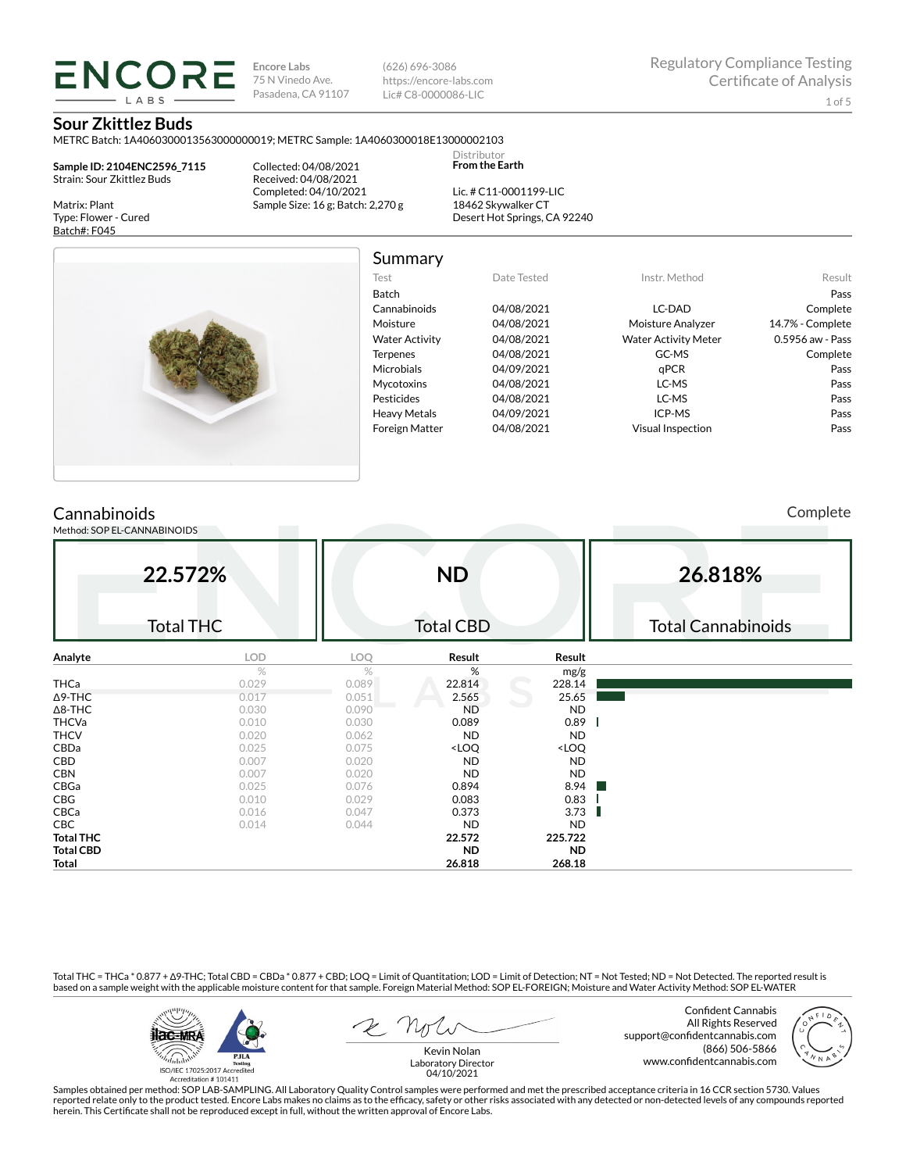**Encore Labs** 75 N Vinedo Ave. Pasadena, CA 91107 (626) 696-3086 https://encore-labs.com Lic# C8-0000086-LIC

Summary

Distributor **From the Earth**

### **Sour Zkittlez Buds**

**ENCORE** 

METRC Batch: 1A4060300013563000000019; METRC Sample: 1A4060300018E13000002103

**Sample ID: 2104ENC2596\_7115** Strain: Sour Zkittlez Buds

Matrix: Plant Type: Flower - Cured Batch#: F045

Collected: 04/08/2021 Received: 04/08/2021 Completed: 04/10/2021 Sample Size: 16 g; Batch: 2,270 g

Lic. # C11-0001199-LIC 18462 Skywalker CT Desert Hot Springs, CA 92240



| Test                  | Date Tested | Instr. Method               | Result           |
|-----------------------|-------------|-----------------------------|------------------|
| Batch                 |             |                             | Pass             |
| Cannabinoids          | 04/08/2021  | LC-DAD                      | Complete         |
| Moisture              | 04/08/2021  | Moisture Analyzer           | 14.7% - Complete |
| <b>Water Activity</b> | 04/08/2021  | <b>Water Activity Meter</b> | 0.5956 aw - Pass |
| <b>Terpenes</b>       | 04/08/2021  | GC-MS                       | Complete         |
| Microbials            | 04/09/2021  | aPCR                        | Pass             |
| <b>Mycotoxins</b>     | 04/08/2021  | LC-MS                       | Pass             |
| Pesticides            | 04/08/2021  | LC-MS                       | Pass             |
| <b>Heavy Metals</b>   | 04/09/2021  | ICP-MS                      | Pass             |
| <b>Foreign Matter</b> | 04/08/2021  | Visual Inspection           | Pass             |

# **Cannabinoids**

Method: SOP EL-CANNABINOIDS

Complete

|                  | 22.572%<br><b>Total THC</b> |       | <b>ND</b><br><b>Total CBD</b>                            |                              | 26.818%<br><b>Total Cannabinoids</b> |
|------------------|-----------------------------|-------|----------------------------------------------------------|------------------------------|--------------------------------------|
| Analyte          | LOD                         | LOQ   | Result                                                   | Result                       |                                      |
|                  | $\%$                        | $\%$  | %                                                        | mg/g                         |                                      |
| <b>THCa</b>      | 0.029                       | 0.089 | 22.814                                                   | 228.14                       |                                      |
| $\Delta$ 9-THC   | 0.017                       | 0.051 | 2.565                                                    | 25.65                        |                                      |
| $\Delta$ 8-THC   | 0.030                       | 0.090 | <b>ND</b>                                                | <b>ND</b>                    |                                      |
| <b>THCVa</b>     | 0.010                       | 0.030 | 0.089                                                    | 0.89                         |                                      |
| <b>THCV</b>      | 0.020                       | 0.062 | <b>ND</b>                                                | <b>ND</b>                    |                                      |
| CBDa             | 0.025                       | 0.075 | <loq< td=""><td><loq< td=""><td></td></loq<></td></loq<> | <loq< td=""><td></td></loq<> |                                      |
| CBD              | 0.007                       | 0.020 | <b>ND</b>                                                | <b>ND</b>                    |                                      |
| <b>CBN</b>       | 0.007                       | 0.020 | <b>ND</b>                                                | <b>ND</b>                    |                                      |
| CBGa             | 0.025                       | 0.076 | 0.894                                                    | 8.94                         |                                      |
| CBG              | 0.010                       | 0.029 | 0.083                                                    | 0.83                         |                                      |
| CBCa             | 0.016                       | 0.047 | 0.373                                                    | 3.73                         |                                      |
| CBC              | 0.014                       | 0.044 | <b>ND</b>                                                | <b>ND</b>                    |                                      |
| <b>Total THC</b> |                             |       | 22.572                                                   | 225.722                      |                                      |
| <b>Total CBD</b> |                             |       | ND.                                                      | <b>ND</b>                    |                                      |
| Total            |                             |       | 26.818                                                   | 268.18                       |                                      |

Total THC = THCa \* 0.877 + ∆9-THC; Total CBD = CBDa \* 0.877 + CBD; LOQ = Limit of Quantitation; LOD = Limit of Detection; NT = Not Tested; ND = Not Detected. The reported result is based on a sample weight with the applicable moisture content for that sample. Foreign Material Method: SOP EL-FOREIGN; Moisture and Water Activity Method: SOP EL-WATER



Confident Cannabis All Rights Reserved support@confidentcannabis.com (866) 506-5866 www.confidentcannabis.com



Kevin Nolan Laboratory Director 04/10/2021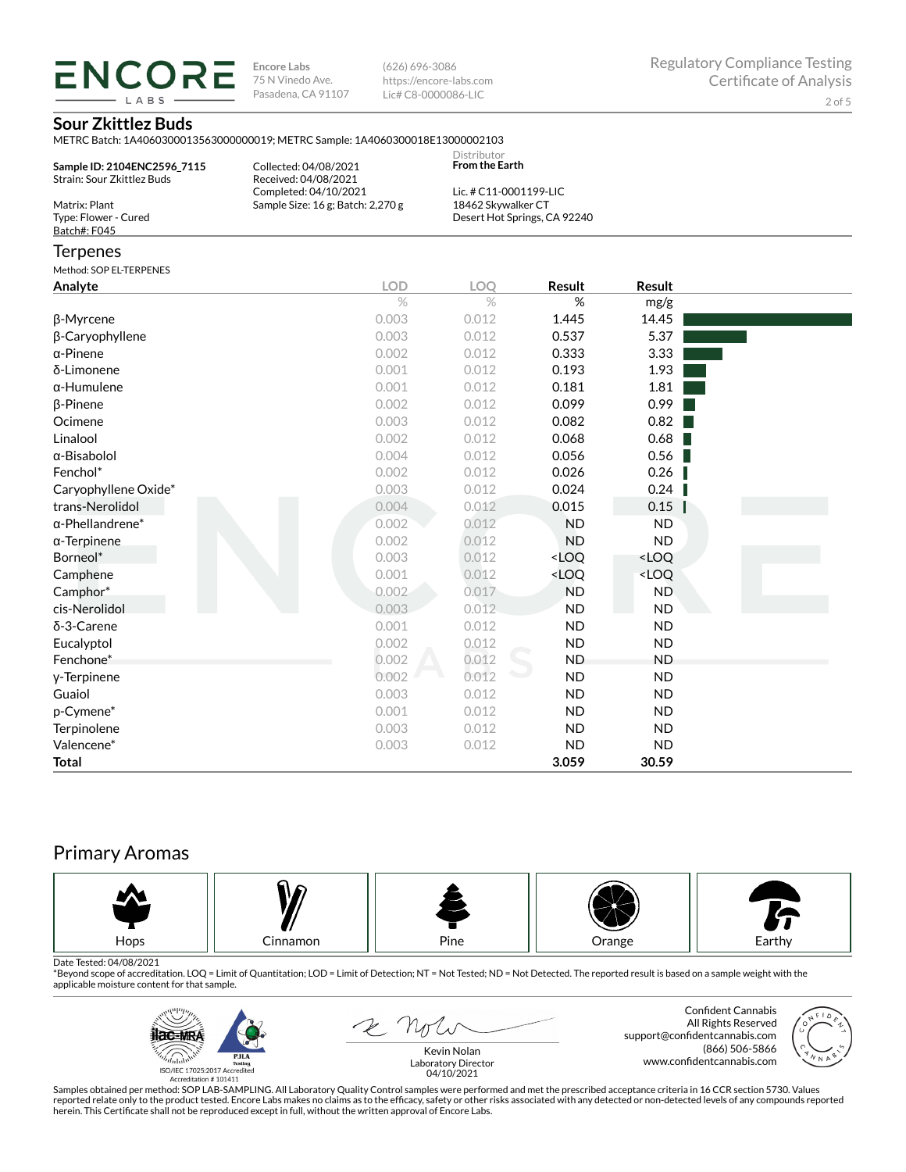**ENCORE Encore Labs** 75 N Vinedo Ave. Pasadena, CA 91107 **LARS** 

(626) 696-3086 https://encore-labs.com Lic# C8-0000086-LIC

# **Sour Zkittlez Buds**

METRC Batch: 1A4060300013563000000019; METRC Sample: 1A4060300018E13000002103

|                                                           | ivic included to patch. IMP000000010000000000017, ivic included anipic. IMP000000000010C10000002100 | Distributor<br><b>From the Earth</b> |                              |           |  |
|-----------------------------------------------------------|-----------------------------------------------------------------------------------------------------|--------------------------------------|------------------------------|-----------|--|
| Sample ID: 2104ENC2596 7115<br>Strain: Sour Zkittlez Buds | Collected: 04/08/2021<br>Received: 04/08/2021<br>Completed: 04/10/2021                              | Lic. # C11-0001199-LIC               |                              |           |  |
| Matrix: Plant<br>Type: Flower - Cured<br>Batch#: F045     | Sample Size: 16 g; Batch: 2,270 g                                                                   | 18462 Skywalker CT                   | Desert Hot Springs, CA 92240 |           |  |
| Terpenes                                                  |                                                                                                     |                                      |                              |           |  |
| Method: SOP EL-TERPENES                                   |                                                                                                     |                                      |                              |           |  |
| Analyte                                                   | <b>LOD</b>                                                                                          | LOQ                                  | Result                       | Result    |  |
|                                                           | $\%$                                                                                                | $\%$                                 | %                            | mg/g      |  |
| β-Myrcene                                                 | 0.003                                                                                               | 0.012                                | 1.445                        | 14.45     |  |
| β-Caryophyllene                                           | 0.003                                                                                               | 0.012                                | 0.537                        | 5.37      |  |
| α-Pinene                                                  | 0.002                                                                                               | 0.012                                | 0.333                        | 3.33      |  |
| δ-Limonene                                                | 0.001                                                                                               | 0.012                                | 0.193                        | 1.93      |  |
| α-Humulene                                                | 0.001                                                                                               | 0.012                                | 0.181                        | 1.81      |  |
| β-Pinene                                                  | 0.002                                                                                               | 0.012                                | 0.099                        | 0.99      |  |
| Ocimene                                                   | 0.003                                                                                               | 0.012                                | 0.082                        | 0.82      |  |
| Linalool                                                  | 0.002                                                                                               | 0.012                                | 0.068                        | 0.68      |  |
| α-Bisabolol                                               | 0.004                                                                                               | 0.012                                | 0.056                        | 0.56      |  |
| Fenchol*                                                  | 0.002                                                                                               | 0.012                                | 0.026                        | 0.26      |  |
| Caryophyllene Oxide*                                      | 0.003                                                                                               | 0.012                                | 0.024                        | 0.24      |  |
| trans-Nerolidol                                           | 0.004                                                                                               | 0.012                                | 0.015                        | 0.15      |  |
| α-Phellandrene*                                           | 0.002                                                                                               | 0.012                                | <b>ND</b>                    | ND.       |  |
| α-Terpinene                                               | 0.002                                                                                               | 0.012                                | <b>ND</b>                    | <b>ND</b> |  |

Borneol\* 0.003 0.012 <LOQ <LOQ  $\text{Camphene}$   $0.001$   $0.012$   $\text{c}$   $\text{LOQ}$   $\text{c}$   $\text{LOQ}$ Camphor\* 0.002 0.017 ND ND cis-Nerolidol 0.003 0.012 ND ND δ-3-Carene 0.001 0.012 ND ND Eucalyptol 0.002 0.012 ND ND Fenchone\* 0.002 0.012 ND ND γ-Terpinene 0.002 0.012 ND ND Guaiol 0.003 0.012 ND ND p-Cymene\* 0.001 0.012 ND ND Terpinolene 0.003 0.012 ND ND Valencene\* 0.003 0.012 ND ND **Total 3.059 30.59**

# Primary Aromas



Date Tested: 04/08/2021<br>\*Beyond scope of accreditation. LOQ = Limit of Quantitation; LOD = Limit of Detection; NT = Not Tested; ND = Not Detected. The reported result is based on a sample weight with the applicable moisture content for that sample.



 $\mathcal{L}$   $\mathcal{N}_{\mathcal{J}}$ 

Confident Cannabis All Rights Reserved support@confidentcannabis.com (866) 506-5866 www.confidentcannabis.com



Kevin Nolan Laboratory Director 04/10/2021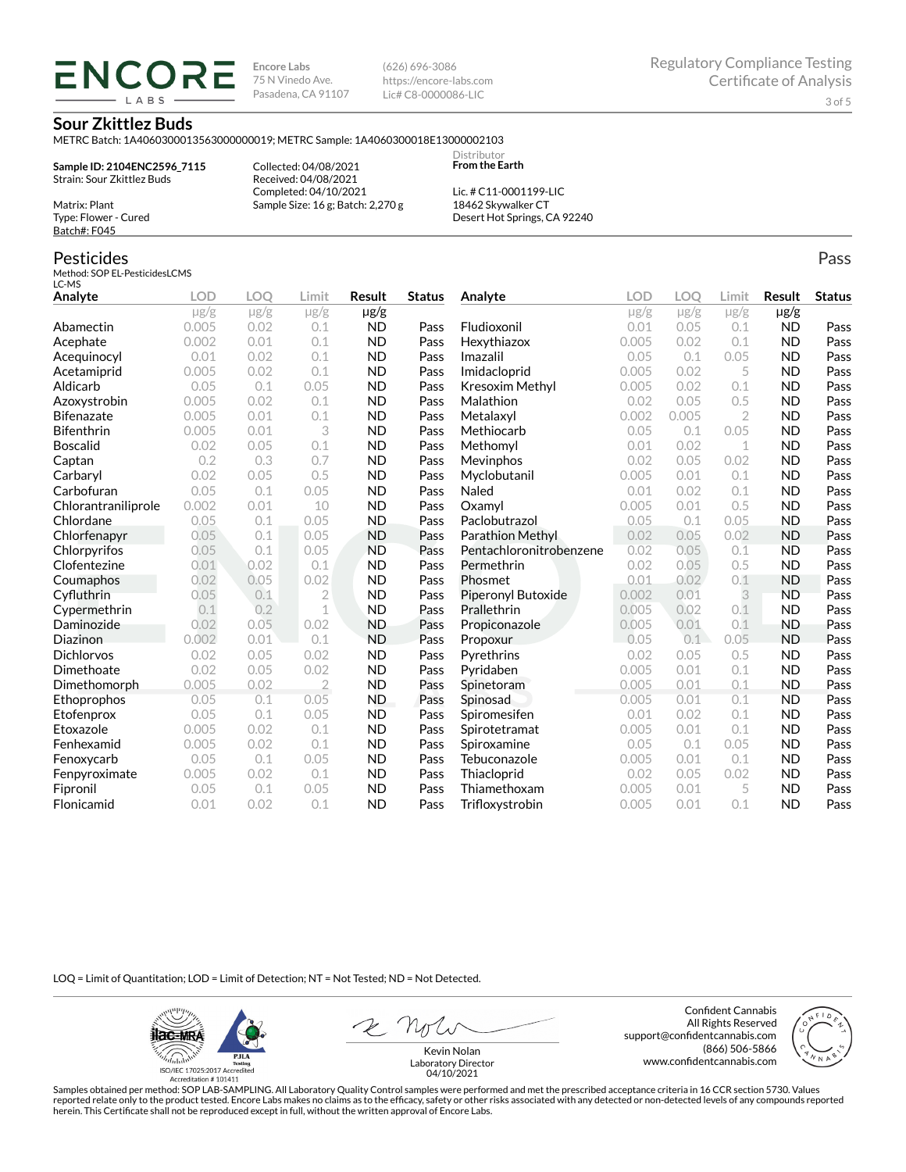**ENCORE Encore Labs** 75 N Vinedo Ave. Pasadena, CA 91107

(626) 696-3086 https://encore-labs.com Lic# C8-0000086-LIC

> **Distributor From the Earth**

### **Sour Zkittlez Buds**

METRC Batch: 1A4060300013563000000019; METRC Sample: 1A4060300018E13000002103

**Sample ID: 2104ENC2596\_7115** Strain: Sour Zkittlez Buds

Matrix: Plant Type: Flower - Cured Batch#: F045

Pesticides

Collected: 04/08/2021 Received: 04/08/2021 Completed: 04/10/2021 Sample Size: 16 g; Batch: 2,270 g

Lic. # C11-0001199-LIC 18462 Skywalker CT Desert Hot Springs, CA 92240

#### Method: SOP EL-PesticidesLCMS LC-MS **Analyte LOD LOQ Limit Result Status**  $\mu$ g/g  $\mu$ g/g  $\mu$ g/g  $\mu$ g/g Abamectin 0.005 0.02 0.1 ND Pass Acephate 0.002 0.01 0.1 ND Pass Acequinocyl 0.01 0.02 0.1 ND Pass Acetamiprid 0.005 0.02 0.1 ND Pass Aldicarb 0.05 0.1 0.05 ND Pass Azoxystrobin 0.005 0.02 0.1 ND Pass Bifenazate 0.005 0.01 0.1 ND Pass Bifenthrin 0.005 0.01 3 ND Pass Boscalid 0.02 0.05 0.1 ND Pass **Captan 12 0.2 0.3 0.7 ND Pass Carbaryl 0.02 0.05 0.5 ND Pass** Carbofuran 0.05 0.1 0.05 ND Pass Chlorantraniliprole 0.002 0.01 10 ND Pass Chlordane 0.05 0.1 0.05 ND Pass Chlorfenapyr 0.05 0.1 0.05 ND Pass Chlorpyrifos 0.05 0.1 0.05 ND Pass Clofentezine 0.01 0.02 0.1 ND Pass Coumaphos 0.02 0.05 0.02 ND Pass Cyfluthrin 0.05 0.1 2 ND Pass Cypermethrin 0.1 0.2 1 ND Pass Daminozide 0.02 0.05 0.02 ND Pass **Diazinon** 0.002 0.01 0.1 ND Pass Dichlorvos 0.02 0.05 0.02 ND Pass Dimethoate 0.02 0.05 0.02 ND Pass Dimethomorph 0.005 0.02 2 ND Pass Ethoprophos 0.05 0.1 0.05 ND Pass Etofenprox 0.05 0.1 0.05 ND Pass Etoxazole 0.005 0.02 0.1 ND Pass Fenhexamid 0.005 0.02 0.1 ND Pass Fenoxycarb 0.05 0.1 0.05 ND Pass Fenpyroximate 0.005 0.02 0.1 ND Pass Fipronil 0.05 0.1 0.05 ND Pass Flonicamid 0.01 0.02 0.1 ND Pass **Analyte LOD LOQ Limit Result Status**  $\mu$ g/g  $\mu$ g/g  $\mu$ g/g  $\mu$ g/g Fludioxonil 0.01 0.05 0.1 ND Pass Hexythiazox 0.005 0.02 0.1 ND Pass **Imazalil 11 0.05 0.1 0.05 ND Pass** Imidacloprid 0.005 0.02 5 ND Pass Kresoxim Methyl  $0.005$  0.02 0.1 ND Pass **Malathion** 0.02 0.05 0.5 **ND Pass** Metalaxyl 0.002 0.005 2 ND Pass Methiocarb 0.05 0.1 0.05 ND Pass **Methomyl** 0.01 0.02 1 **ND Pass** Mevinphos 0.02 0.05 0.02 ND Pass Myclobutanil 0.005 0.01 0.1 ND Pass **Naled 1200 0.01 0.02 0.1 ND Pass Oxamyl** 0.005 0.01 0.5 **ND Pass** Paclobutrazol 0.05 0.1 0.05 ND Pass Parathion Methyl 0.02 0.05 0.02 ND Pass Pentachloronitrobenzene 0.02 0.05 0.1 ND Pass Permethrin 0.02 0.05 0.5 ND Pass Phosmet 0.01 0.02 0.1 ND Pass Piperonyl Butoxide 0.002 0.01 3 ND Pass Prallethrin 0.005 0.02 0.1 ND Pass Propiconazole 0.005 0.01 0.1 ND Pass **Propoxur 1988 0.05 0.1 0.05 ND Pass** Pyrethrins 0.02 0.05 0.5 ND Pass **Pyridaben 1988 0.005 0.01 0.1 ND Pass Spinetoram 0.005 0.01 0.1 ND Pass** Spinosad 0.005 0.01 0.1 ND Pass Spiromesifen 0.01 0.02 0.1 ND Pass Spirotetramat 0.005 0.01 0.1 ND Pass Spiroxamine 0.05 0.1 0.05 ND Pass Tebuconazole 0.005 0.01 0.1 ND Pass Thiacloprid 0.02 0.05 0.02 ND Pass Thiamethoxam 0.005 0.01 5 ND Pass Trifloxystrobin 0.005 0.01 0.1 ND Pass

LOQ = Limit of Quantitation; LOD = Limit of Detection; NT = Not Tested; ND = Not Detected.

**ilac-MRA P.ILA** أيطيبك ISO/IEC 17025:2017 Ac

Accreditation #101411

Z Noli

Confident Cannabis All Rights Reserved support@confidentcannabis.com (866) 506-5866 www.confidentcannabis.com



Kevin Nolan Laboratory Director 04/10/2021

Samples obtained per method: SOP LAB-SAMPLING. All Laboratory Quality Control samples were performed and met the prescribed acceptance criteria in 16 CCR section 5730. Values reported relate only to the product tested. Encore Labs makes no claims as to the efficacy, safety or other risks associated with any detected or non-detected levels of any compounds reported herein. This Certificate shall not be reproduced except in full, without the written approval of Encore Labs.

Pass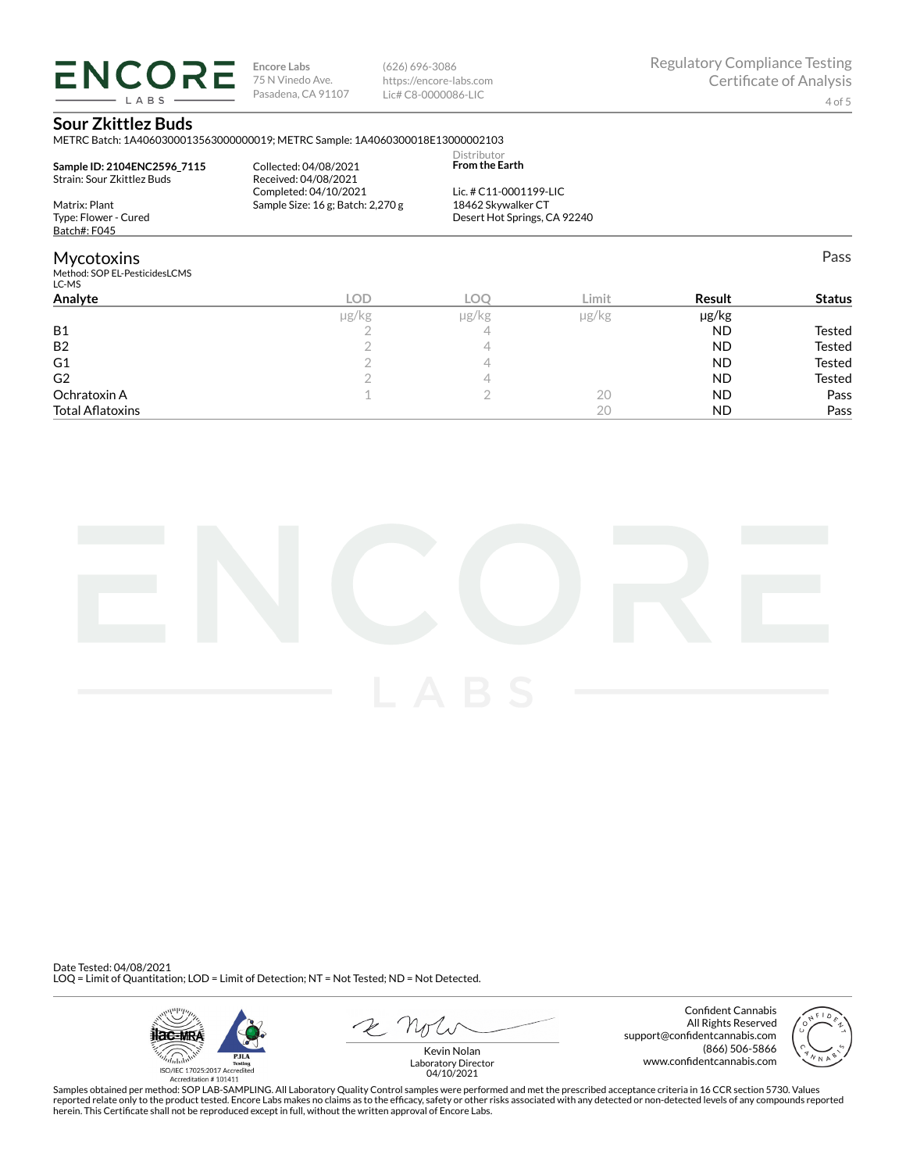**ENCORE LARS** 

**Encore Labs** 75 N Vinedo Ave. Pasadena, CA 91107 (626) 696-3086 https://encore-labs.com Lic# C8-0000086-LIC

Pass

# **Sour Zkittlez Buds**

METRC Batch: 1A4060300013563000000019; METRC Sample: 1A4060300018E13000002103

|                             |                                       | Distributor                  |  |
|-----------------------------|---------------------------------------|------------------------------|--|
| Sample ID: 2104ENC2596 7115 | Collected: 04/08/2021                 | <b>From the Earth</b>        |  |
| Strain: Sour Zkittlez Buds  | Received: 04/08/2021                  |                              |  |
|                             | Completed: 04/10/2021                 | Lic. # $C11-0001199-LLC$     |  |
| Matrix: Plant               | Sample Size: $16$ g; Batch: $2,270$ g | 18462 Skywalker CT           |  |
| Type: Flower - Cured        |                                       | Desert Hot Springs, CA 92240 |  |
| Batch#: F045                |                                       |                              |  |
|                             |                                       |                              |  |
| . .                         |                                       |                              |  |

# Mycotoxins

Method: SOP EL-PesticidesLCMS LC-MS

| LC-MS                   |            |       |               |           |               |
|-------------------------|------------|-------|---------------|-----------|---------------|
| Analyte                 | <b>LOD</b> | LOC   | Limit         | Result    | <b>Status</b> |
|                         | µg/kg      | µg/kg | $\mu$ g/ $kg$ | µg/kg     |               |
| <b>B1</b>               |            | 4     |               | <b>ND</b> | Tested        |
| B <sub>2</sub>          |            |       |               | <b>ND</b> | Tested        |
| G1                      |            |       |               | <b>ND</b> | Tested        |
| G <sub>2</sub>          |            |       |               | <b>ND</b> | Tested        |
| Ochratoxin A            |            |       | 20            | <b>ND</b> | Pass          |
| <b>Total Aflatoxins</b> |            |       | 20            | <b>ND</b> | Pass          |
|                         |            |       |               |           |               |



Date Tested: 04/08/2021 LOQ = Limit of Quantitation; LOD = Limit of Detection; NT = Not Tested; ND = Not Detected.



Confident Cannabis All Rights Reserved support@confidentcannabis.com (866) 506-5866 www.confidentcannabis.com



Kevin Nolan Laboratory Director 04/10/2021